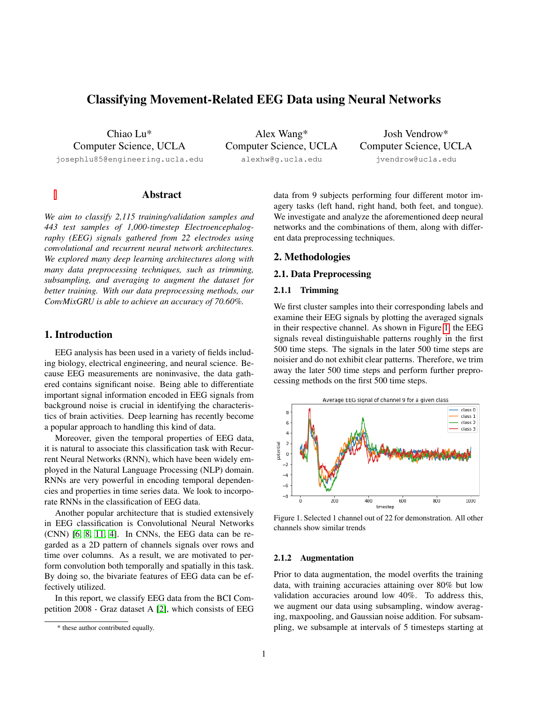# Classifying Movement-Related EEG Data using Neural Networks

Chiao Lu\* Computer Science, UCLA

josephlu85@engineering.ucla.edu

Alex Wang\* Computer Science, UCLA alexhw@g.ucla.edu

Josh Vendrow\* Computer Science, UCLA jvendrow@ucla.edu

# Abstract

*We aim to classify 2,115 training/validation samples and 443 test samples of 1,000-timestep Electroencephalography (EEG) signals gathered from 22 electrodes using convolutional and recurrent neural network architectures. We explored many deep learning architectures along with many data preprocessing techniques, such as trimming, subsampling, and averaging to augment the dataset for better training. With our data preprocessing methods, our ConvMixGRU is able to achieve an accuracy of 70.60%.*

## 1. Introduction

EEG analysis has been used in a variety of fields including biology, electrical engineering, and neural science. Because EEG measurements are noninvasive, the data gathered contains significant noise. Being able to differentiate important signal information encoded in EEG signals from background noise is crucial in identifying the characteristics of brain activities. Deep learning has recently become a popular approach to handling this kind of data.

Moreover, given the temporal properties of EEG data, it is natural to associate this classification task with Recurrent Neural Networks (RNN), which have been widely employed in the Natural Language Processing (NLP) domain. RNNs are very powerful in encoding temporal dependencies and properties in time series data. We look to incorporate RNNs in the classification of EEG data.

Another popular architecture that is studied extensively in EEG classification is Convolutional Neural Networks (CNN) [\[6,](#page-3-0) [8,](#page-3-1) [11,](#page-3-2) [4\]](#page-3-3). In CNNs, the EEG data can be regarded as a 2D pattern of channels signals over rows and time over columns. As a result, we are motivated to perform convolution both temporally and spatially in this task. By doing so, the bivariate features of EEG data can be effectively utilized.

In this report, we classify EEG data from the BCI Competition 2008 - Graz dataset A [\[2\]](#page-3-4), which consists of EEG data from 9 subjects performing four different motor imagery tasks (left hand, right hand, both feet, and tongue). We investigate and analyze the aforementioned deep neural networks and the combinations of them, along with different data preprocessing techniques.

#### 2. Methodologies

# 2.1. Data Preprocessing

## 2.1.1 Trimming

We first cluster samples into their corresponding labels and examine their EEG signals by plotting the averaged signals in their respective channel. As shown in Figure [1,](#page-0-0) the EEG signals reveal distinguishable patterns roughly in the first 500 time steps. The signals in the later 500 time steps are noisier and do not exhibit clear patterns. Therefore, we trim away the later 500 time steps and perform further preprocessing methods on the first 500 time steps.



<span id="page-0-0"></span>Figure 1. Selected 1 channel out of 22 for demonstration. All other channels show similar trends

#### 2.1.2 Augmentation

Prior to data augmentation, the model overfits the training data, with training accuracies attaining over 80% but low validation accuracies around low 40%. To address this, we augment our data using subsampling, window averaging, maxpooling, and Gaussian noise addition. For subsampling, we subsample at intervals of 5 timesteps starting at

<sup>\*</sup> these author contributed equally.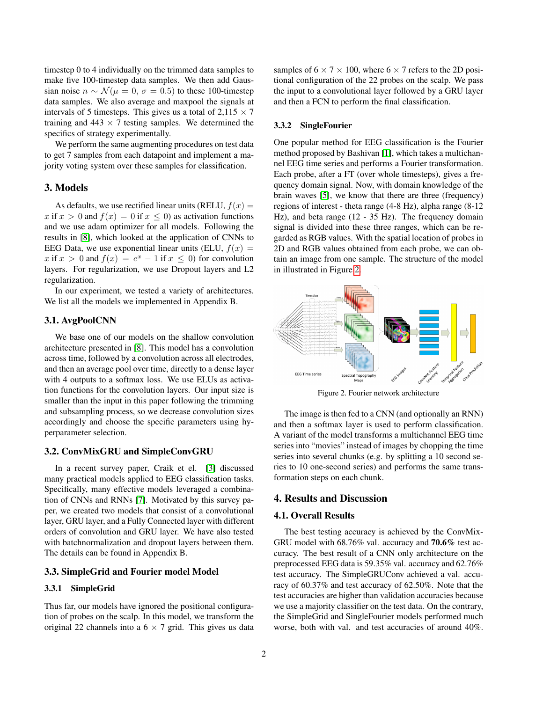timestep 0 to 4 individually on the trimmed data samples to make five 100-timestep data samples. We then add Gaussian noise  $n \sim \mathcal{N}(\mu = 0, \sigma = 0.5)$  to these 100-timestep data samples. We also average and maxpool the signals at intervals of 5 timesteps. This gives us a total of  $2,115 \times 7$ training and  $443 \times 7$  testing samples. We determined the specifics of strategy experimentally.

We perform the same augmenting procedures on test data to get 7 samples from each datapoint and implement a majority voting system over these samples for classification.

## 3. Models

As defaults, we use rectified linear units (RELU,  $f(x) =$ x if  $x > 0$  and  $f(x) = 0$  if  $x \le 0$ ) as activation functions and we use adam optimizer for all models. Following the results in [\[8\]](#page-3-1), which looked at the application of CNNs to EEG Data, we use exponential linear units (ELU,  $f(x) =$ x if  $x > 0$  and  $f(x) = e^x - 1$  if  $x \le 0$ ) for convolution layers. For regularization, we use Dropout layers and L2 regularization.

In our experiment, we tested a variety of architectures. We list all the models we implemented in Appendix B.

## 3.1. AvgPoolCNN

We base one of our models on the shallow convolution architecture presented in [\[8\]](#page-3-1). This model has a convolution across time, followed by a convolution across all electrodes, and then an average pool over time, directly to a dense layer with 4 outputs to a softmax loss. We use ELUs as activation functions for the convolution layers. Our input size is smaller than the input in this paper following the trimming and subsampling process, so we decrease convolution sizes accordingly and choose the specific parameters using hyperparameter selection.

#### 3.2. ConvMixGRU and SimpleConvGRU

In a recent survey paper, Craik et el. [\[3\]](#page-3-5) discussed many practical models applied to EEG classification tasks. Specifically, many effective models leveraged a combination of CNNs and RNNs [\[7\]](#page-3-6). Motivated by this survey paper, we created two models that consist of a convolutional layer, GRU layer, and a Fully Connected layer with different orders of convolution and GRU layer. We have also tested with batchnormalization and dropout layers between them. The details can be found in Appendix B.

#### 3.3. SimpleGrid and Fourier model Model

## 3.3.1 SimpleGrid

Thus far, our models have ignored the positional configuration of probes on the scalp. In this model, we transform the original 22 channels into a  $6 \times 7$  grid. This gives us data

samples of  $6 \times 7 \times 100$ , where  $6 \times 7$  refers to the 2D positional configuration of the 22 probes on the scalp. We pass the input to a convolutional layer followed by a GRU layer and then a FCN to perform the final classification.

#### 3.3.2 SingleFourier

One popular method for EEG classification is the Fourier method proposed by Bashivan [\[1\]](#page-2-0), which takes a multichannel EEG time series and performs a Fourier transformation. Each probe, after a FT (over whole timesteps), gives a frequency domain signal. Now, with domain knowledge of the brain waves [\[5\]](#page-3-7), we know that there are three (frequency) regions of interest - theta range (4-8 Hz), alpha range (8-12 Hz), and beta range (12 - 35 Hz). The frequency domain signal is divided into these three ranges, which can be regarded as RGB values. With the spatial location of probes in 2D and RGB values obtained from each probe, we can obtain an image from one sample. The structure of the model in illustrated in Figure [2.](#page-1-0)



<span id="page-1-0"></span>Figure 2. Fourier network architecture

The image is then fed to a CNN (and optionally an RNN) and then a softmax layer is used to perform classification. A variant of the model transforms a multichannel EEG time series into "movies" instead of images by chopping the time series into several chunks (e.g. by splitting a 10 second series to 10 one-second series) and performs the same transformation steps on each chunk.

## 4. Results and Discussion

#### 4.1. Overall Results

The best testing accuracy is achieved by the ConvMix-GRU model with 68.76% val. accuracy and 70.6% test accuracy. The best result of a CNN only architecture on the preprocessed EEG data is 59.35% val. accuracy and 62.76% test accuracy. The SimpleGRUConv achieved a val. accuracy of 60.37% and test accuracy of 62.50%. Note that the test accuracies are higher than validation accuracies because we use a majority classifier on the test data. On the contrary, the SimpleGrid and SingleFourier models performed much worse, both with val. and test accuracies of around 40%.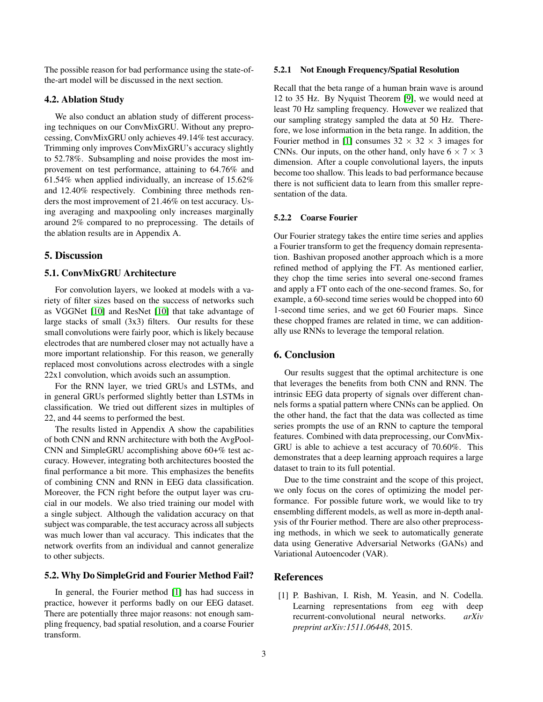The possible reason for bad performance using the state-ofthe-art model will be discussed in the next section.

## 4.2. Ablation Study

We also conduct an ablation study of different processing techniques on our ConvMixGRU. Without any preprocessing, ConvMixGRU only achieves 49.14% test accuracy. Trimming only improves ConvMixGRU's accuracy slightly to 52.78%. Subsampling and noise provides the most improvement on test performance, attaining to 64.76% and 61.54% when applied individually, an increase of 15.62% and 12.40% respectively. Combining three methods renders the most improvement of 21.46% on test accuracy. Using averaging and maxpooling only increases marginally around 2% compared to no preprocessing. The details of the ablation results are in Appendix A.

# 5. Discussion

## 5.1. ConvMixGRU Architecture

For convolution layers, we looked at models with a variety of filter sizes based on the success of networks such as VGGNet [\[10\]](#page-3-8) and ResNet [\[10\]](#page-3-8) that take advantage of large stacks of small (3x3) filters. Our results for these small convolutions were fairly poor, which is likely because electrodes that are numbered closer may not actually have a more important relationship. For this reason, we generally replaced most convolutions across electrodes with a single 22x1 convolution, which avoids such an assumption.

For the RNN layer, we tried GRUs and LSTMs, and in general GRUs performed slightly better than LSTMs in classification. We tried out different sizes in multiples of 22, and 44 seems to performed the best.

The results listed in Appendix A show the capabilities of both CNN and RNN architecture with both the AvgPool-CNN and SimpleGRU accomplishing above 60+% test accuracy. However, integrating both architectures boosted the final performance a bit more. This emphasizes the benefits of combining CNN and RNN in EEG data classification. Moreover, the FCN right before the output layer was crucial in our models. We also tried training our model with a single subject. Although the validation accuracy on that subject was comparable, the test accuracy across all subjects was much lower than val accuracy. This indicates that the network overfits from an individual and cannot generalize to other subjects.

## 5.2. Why Do SimpleGrid and Fourier Method Fail?

In general, the Fourier method [\[1\]](#page-2-0) has had success in practice, however it performs badly on our EEG dataset. There are potentially three major reasons: not enough sampling frequency, bad spatial resolution, and a coarse Fourier transform.

#### 5.2.1 Not Enough Frequency/Spatial Resolution

Recall that the beta range of a human brain wave is around 12 to 35 Hz. By Nyquist Theorem [\[9\]](#page-3-9), we would need at least 70 Hz sampling frequency. However we realized that our sampling strategy sampled the data at 50 Hz. Therefore, we lose information in the beta range. In addition, the Fourier method in [\[1\]](#page-2-0) consumes  $32 \times 32 \times 3$  images for CNNs. Our inputs, on the other hand, only have  $6 \times 7 \times 3$ dimension. After a couple convolutional layers, the inputs become too shallow. This leads to bad performance because there is not sufficient data to learn from this smaller representation of the data.

#### 5.2.2 Coarse Fourier

Our Fourier strategy takes the entire time series and applies a Fourier transform to get the frequency domain representation. Bashivan proposed another approach which is a more refined method of applying the FT. As mentioned earlier, they chop the time series into several one-second frames and apply a FT onto each of the one-second frames. So, for example, a 60-second time series would be chopped into 60 1-second time series, and we get 60 Fourier maps. Since these chopped frames are related in time, we can additionally use RNNs to leverage the temporal relation.

## 6. Conclusion

Our results suggest that the optimal architecture is one that leverages the benefits from both CNN and RNN. The intrinsic EEG data property of signals over different channels forms a spatial pattern where CNNs can be applied. On the other hand, the fact that the data was collected as time series prompts the use of an RNN to capture the temporal features. Combined with data preprocessing, our ConvMix-GRU is able to achieve a test accuracy of 70.60%. This demonstrates that a deep learning approach requires a large dataset to train to its full potential.

Due to the time constraint and the scope of this project, we only focus on the cores of optimizing the model performance. For possible future work, we would like to try ensembling different models, as well as more in-depth analysis of thr Fourier method. There are also other preprocessing methods, in which we seek to automatically generate data using Generative Adversarial Networks (GANs) and Variational Autoencoder (VAR).

## <span id="page-2-0"></span>References

[1] P. Bashivan, I. Rish, M. Yeasin, and N. Codella. Learning representations from eeg with deep recurrent-convolutional neural networks. *arXiv preprint arXiv:1511.06448*, 2015.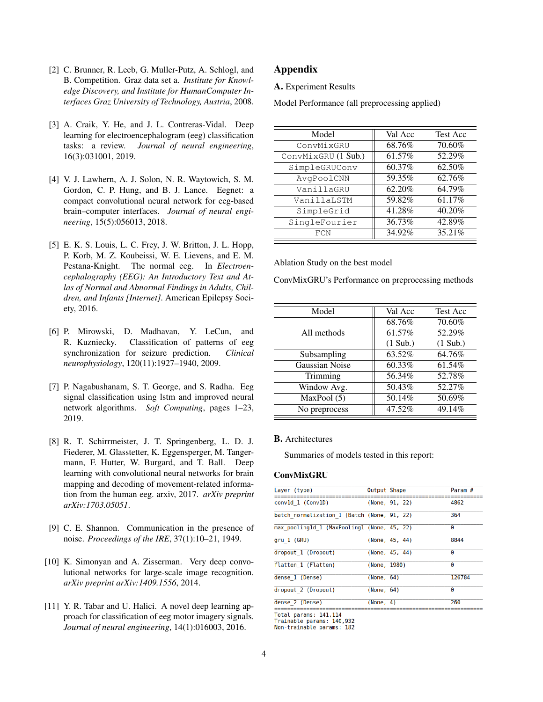- <span id="page-3-4"></span>[2] C. Brunner, R. Leeb, G. Muller-Putz, A. Schlogl, and B. Competition. Graz data set a. *Institute for Knowledge Discovery, and Institute for HumanComputer Interfaces Graz University of Technology, Austria*, 2008.
- <span id="page-3-5"></span>[3] A. Craik, Y. He, and J. L. Contreras-Vidal. Deep learning for electroencephalogram (eeg) classification tasks: a review. *Journal of neural engineering*, 16(3):031001, 2019.
- <span id="page-3-3"></span>[4] V. J. Lawhern, A. J. Solon, N. R. Waytowich, S. M. Gordon, C. P. Hung, and B. J. Lance. Eegnet: a compact convolutional neural network for eeg-based brain–computer interfaces. *Journal of neural engineering*, 15(5):056013, 2018.
- <span id="page-3-7"></span>[5] E. K. S. Louis, L. C. Frey, J. W. Britton, J. L. Hopp, P. Korb, M. Z. Koubeissi, W. E. Lievens, and E. M. Pestana-Knight. The normal eeg. In *Electroencephalography (EEG): An Introductory Text and Atlas of Normal and Abnormal Findings in Adults, Children, and Infants [Internet]*. American Epilepsy Society, 2016.
- <span id="page-3-0"></span>[6] P. Mirowski, D. Madhavan, Y. LeCun, and R. Kuzniecky. Classification of patterns of eeg synchronization for seizure prediction. *Clinical neurophysiology*, 120(11):1927–1940, 2009.
- <span id="page-3-6"></span>[7] P. Nagabushanam, S. T. George, and S. Radha. Eeg signal classification using lstm and improved neural network algorithms. *Soft Computing*, pages 1–23, 2019.
- <span id="page-3-1"></span>[8] R. T. Schirrmeister, J. T. Springenberg, L. D. J. Fiederer, M. Glasstetter, K. Eggensperger, M. Tangermann, F. Hutter, W. Burgard, and T. Ball. Deep learning with convolutional neural networks for brain mapping and decoding of movement-related information from the human eeg. arxiv, 2017. *arXiv preprint arXiv:1703.05051*.
- <span id="page-3-9"></span>[9] C. E. Shannon. Communication in the presence of noise. *Proceedings of the IRE*, 37(1):10–21, 1949.
- <span id="page-3-8"></span>[10] K. Simonyan and A. Zisserman. Very deep convolutional networks for large-scale image recognition. *arXiv preprint arXiv:1409.1556*, 2014.
- <span id="page-3-2"></span>[11] Y. R. Tabar and U. Halici. A novel deep learning approach for classification of eeg motor imagery signals. *Journal of neural engineering*, 14(1):016003, 2016.

# Appendix

A. Experiment Results

Model Performance (all preprocessing applied)

| Model               | Val Acc | <b>Test Acc</b> |
|---------------------|---------|-----------------|
| ConvMixGRU          | 68.76%  | 70.60%          |
| ConvMixGRU (1 Sub.) | 61.57%  | 52.29%          |
| SimpleGRUConv       | 60.37%  | 62.50%          |
| AvgPoolCNN          | 59.35%  | 62.76%          |
| VanillaGRU          | 62.20%  | 64.79%          |
| VanillaLSTM         | 59.82%  | 61.17%          |
| SimpleGrid          | 41.28%  | 40.20%          |
| SingleFourier       | 36.73%  | 42.89%          |
| FCN                 | 34.92%  | 35.21%          |

Ablation Study on the best model

ConvMixGRU's Performance on preprocessing methods

| Model          | Val Acc    | <b>Test Acc</b> |
|----------------|------------|-----------------|
|                | 68.76%     | 70.60%          |
| All methods    | 61.57%     | 52.29%          |
|                | $(1$ Sub.) | $(1$ Sub.)      |
| Subsampling    | 63.52%     | 64.76%          |
| Gaussian Noise | 60.33%     | 61.54%          |
| Trimming       | 56.34%     | 52.78%          |
| Window Avg.    | 50.43%     | 52.27%          |
| MaxPool (5)    | 50.14%     | 50.69%          |
| No preprocess  | 47.52%     | 49.14%          |
|                |            |                 |

#### B. Architectures

Summaries of models tested in this report:

#### **ConvMixGRU**

| Layer (type)                                | Output Shape |                | Param # |
|---------------------------------------------|--------------|----------------|---------|
| convld 1 (Conv1D)                           |              | (None, 91, 22) | 4862    |
| batch normalization 1 (Batch (None, 91, 22) |              |                | 364     |
| max pooling1d 1 (MaxPooling1 (None, 45, 22) |              |                | Θ       |
| gru 1 (GRU)                                 |              | (None, 45, 44) | 8844    |
| dropout 1 (Dropout)                         |              | (None, 45, 44) | Θ       |
| flatten 1 (Flatten)                         | (None, 1980) |                | Θ       |
| dense 1 (Dense)                             | (None, 64)   |                | 126784  |
| dropout 2 (Dropout)                         | (None, 64)   |                | Θ       |
| dense 2 (Dense)                             | (None, 4)    |                | 260     |
| $T_{\alpha} + 1$ porome: 141 114            |              |                |         |

Total params: 141,114<br>Trainable params: 140,932

Non-trainable params: 182